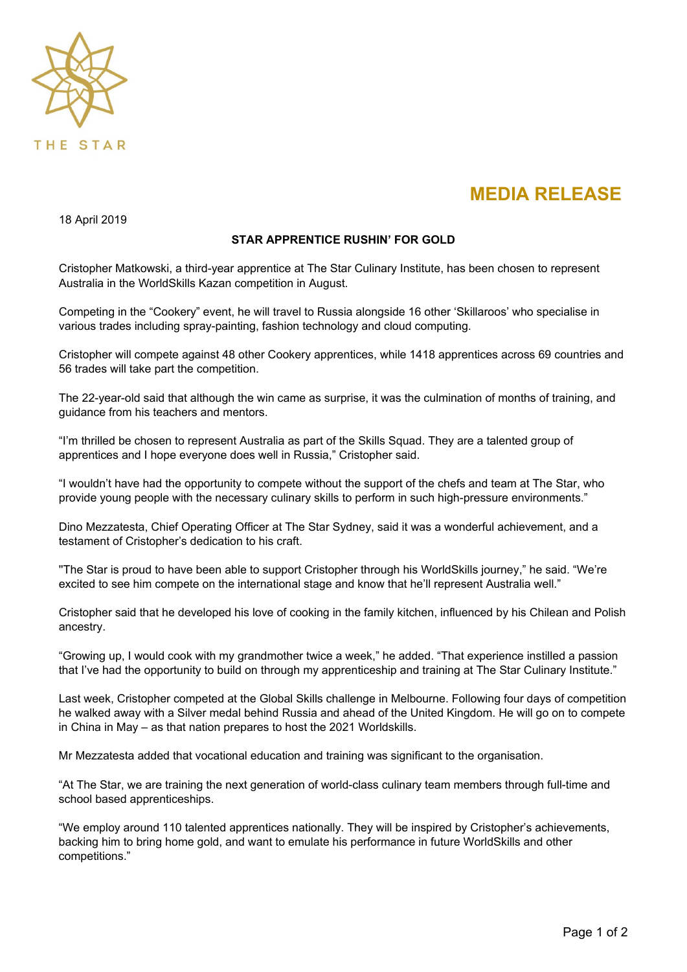

## **MEDIA RELEASE**

18 April 2019

## **STAR APPRENTICE RUSHIN' FOR GOLD**

Cristopher Matkowski, a third-year apprentice at The Star Culinary Institute, has been chosen to represent Australia in the WorldSkills Kazan competition in August.

Competing in the "Cookery" event, he will travel to Russia alongside 16 other 'Skillaroos' who specialise in various trades including spray-painting, fashion technology and cloud computing.

Cristopher will compete against 48 other Cookery apprentices, while 1418 apprentices across 69 countries and 56 trades will take part the competition.

The 22-year-old said that although the win came as surprise, it was the culmination of months of training, and guidance from his teachers and mentors.

"I'm thrilled be chosen to represent Australia as part of the Skills Squad. They are a talented group of apprentices and I hope everyone does well in Russia," Cristopher said.

"I wouldn't have had the opportunity to compete without the support of the chefs and team at The Star, who provide young people with the necessary culinary skills to perform in such high-pressure environments."

Dino Mezzatesta, Chief Operating Officer at The Star Sydney, said it was a wonderful achievement, and a testament of Cristopher's dedication to his craft.

''The Star is proud to have been able to support Cristopher through his WorldSkills journey," he said. "We're excited to see him compete on the international stage and know that he'll represent Australia well."

Cristopher said that he developed his love of cooking in the family kitchen, influenced by his Chilean and Polish ancestry.

"Growing up, I would cook with my grandmother twice a week," he added. "That experience instilled a passion that I've had the opportunity to build on through my apprenticeship and training at The Star Culinary Institute."

Last week, Cristopher competed at the Global Skills challenge in Melbourne. Following four days of competition he walked away with a Silver medal behind Russia and ahead of the United Kingdom. He will go on to compete in China in May – as that nation prepares to host the 2021 Worldskills.

Mr Mezzatesta added that vocational education and training was significant to the organisation.

"At The Star, we are training the next generation of world-class culinary team members through full-time and school based apprenticeships.

"We employ around 110 talented apprentices nationally. They will be inspired by Cristopher's achievements, backing him to bring home gold, and want to emulate his performance in future WorldSkills and other competitions."